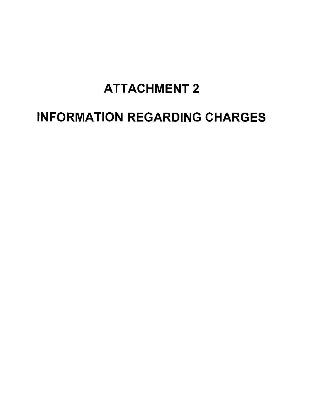## ATTACHMENT 2

# INFORMATION REGARDING CHARGES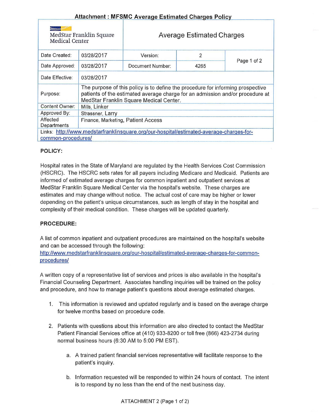## Attachment : MFSMC Average Estimated Charges Policy

| MedStar Franklin Square<br>Medical Center |                                                                                                                                                                                                             | <b>Average Estimated Charges</b>                                                        |      |             |  |  |  |
|-------------------------------------------|-------------------------------------------------------------------------------------------------------------------------------------------------------------------------------------------------------------|-----------------------------------------------------------------------------------------|------|-------------|--|--|--|
| Date Created:                             | 03/28/2017                                                                                                                                                                                                  | Version:                                                                                | 2    | Page 1 of 2 |  |  |  |
| Date Approved:                            | 03/28/2017                                                                                                                                                                                                  | Document Number:                                                                        | 4265 |             |  |  |  |
| Date Effective:                           | 03/28/2017                                                                                                                                                                                                  |                                                                                         |      |             |  |  |  |
| Purpose:                                  | The purpose of this policy is to define the procedure for informing prospective<br>patients of the estimated average charge for an admission and/or procedure at<br>MedStar Franklin Square Medical Center. |                                                                                         |      |             |  |  |  |
| <b>Content Owner:</b>                     | Mills, Linker                                                                                                                                                                                               |                                                                                         |      |             |  |  |  |
| Approved By:                              | Strassner, Larry                                                                                                                                                                                            |                                                                                         |      |             |  |  |  |
| Affected<br>Departments                   | Finance, Marketing, Patient Access                                                                                                                                                                          |                                                                                         |      |             |  |  |  |
| common-procedures/                        |                                                                                                                                                                                                             | Links: http://www.medstarfranklinsquare.org/our-hospital/estimated-average-charges-for- |      |             |  |  |  |

### POLICY:

Hospital rates in the State of Maryland are regulated by the Health Services Cost Commission (HSCRC). The HSCRC sets rates for all payers including Medicare and Medicaid. Patients are informed of estimated average charges for common inpatient and outpatient services at MedStar Franklin Square Medical Center via the hospital's website. These charges are estimates and may change without notice. The actual cost of care may be higher or lower depending on the patient's unique circumstances, such as length of stay in the hospital and complexity of their medical condition. These charges will be updated quarterly.

#### PROCEDURE:

A list of common inpatient and outpatient procedures are maintained on the hospital's website and can be accessed through the following:

http://www.medstarfranklinsquare.org/our-hospital/estimated-average-charges-for-commonprocedures/

A written copy of a representative list of services and prices is also available in the hospital's Financial Counseling Department. Associates handling inquiries will be trained on the policy and procedure, and how to manage patient's questions about average estimated charges.

- 1. This information is reviewed and updated regularly and is based on the average charge for twelve months based on procedure code.
- 2. Patients with questions about this information are also directed to contact the MedStar Patient Financial Services office at (410) 933-8200 or toll free (866) 423-2734 during normal business hours (6:30 AM to 5:00 PM EST).
	- a. A trained patient financial services representative will facilitate response to the patient's inquiry.
	- b. Information requested will be responded to within 24 hours of contact. The intent is to respond by no less than the end of the next business day.